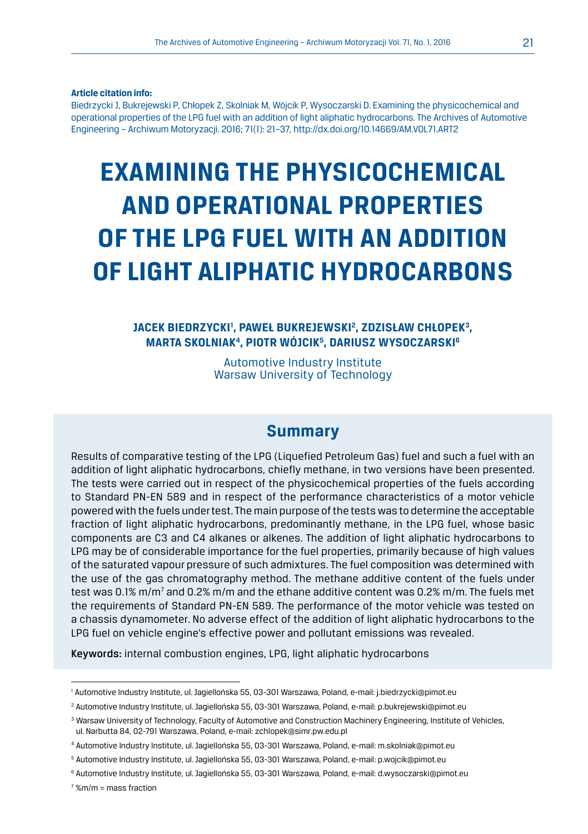**Article citation info:**

Biedrzycki J, Bukrejewski P, Chłopek Z, Skolniak M, Wójcik P, Wysoczarski D. Examining the physicochemical and operational properties of the LPG fuel with an addition of light aliphatic hydrocarbons. The Archives of Automotive Engineering – Archiwum Motoryzacji. 2016; 71(1): 21–37, http://dx.doi.org/10.14669/AM.VOL71.ART2

# **EXAMINING THE PHYSICOCHEMICAL AND OPERATIONAL PROPERTIES OF THE LPG FUEL WITH AN ADDITION OF LIGHT ALIPHATIC HYDROCARBONS**

### **JACEK BIEDRZYCKI1 , PAWEŁ BUKREJEWSKI2 , ZDZISŁAW CHŁOPEK3, MARTA SKOLNIAK4, PIOTR WÓJCIK5 , DARIUSZ WYSOCZARSKI6**

Automotive Industry Institute Warsaw University of Technology

## **Summary**

Results of comparative testing of the LPG (Liquefied Petroleum Gas) fuel and such a fuel with an addition of light aliphatic hydrocarbons, chiefly methane, in two versions have been presented. The tests were carried out in respect of the physicochemical properties of the fuels according to Standard PN-EN 589 and in respect of the performance characteristics of a motor vehicle powered with the fuels under test. The main purpose of the tests was to determine the acceptable fraction of light aliphatic hydrocarbons, predominantly methane, in the LPG fuel, whose basic components are C3 and C4 alkanes or alkenes. The addition of light aliphatic hydrocarbons to LPG may be of considerable importance for the fuel properties, primarily because of high values of the saturated vapour pressure of such admixtures. The fuel composition was determined with the use of the gas chromatography method. The methane additive content of the fuels under test was 0.1% m/m<sup>7</sup> and 0.2% m/m and the ethane additive content was 0.2% m/m. The fuels met the requirements of Standard PN-EN 589. The performance of the motor vehicle was tested on a chassis dynamometer. No adverse effect of the addition of light aliphatic hydrocarbons to the LPG fuel on vehicle engine's effective power and pollutant emissions was revealed.

Keywords: internal combustion engines, LPG, light aliphatic hydrocarbons

<sup>1</sup> Automotive Industry Institute, ul. Jagiellońska 55, 03-301 Warszawa, Poland, e-mail: j.biedrzycki@pimot.eu

<sup>2</sup> Automotive Industry Institute, ul. Jagiellońska 55, 03-301 Warszawa, Poland, e-mail: p.bukrejewski@pimot.eu

<sup>&</sup>lt;sup>3</sup> Warsaw University of Technology, Faculty of Automotive and Construction Machinery Engineering, Institute of Vehicles, ul. Narbutta 84, 02-791 Warszawa, Poland, e-mail: zchlopek@simr.pw.edu.pl

<sup>4</sup> Automotive Industry Institute, ul. Jagiellońska 55, 03-301 Warszawa, Poland, e-mail: m.skolniak@pimot.eu

<sup>5</sup> Automotive Industry Institute, ul. Jagiellońska 55, 03-301 Warszawa, Poland, e-mail: p.wojcik@pimot.eu

<sup>6</sup> Automotive Industry Institute, ul. Jagiellońska 55, 03-301 Warszawa, Poland, e-mail: d.wysoczarski@pimot.eu

<sup>7</sup> %m/m = mass fraction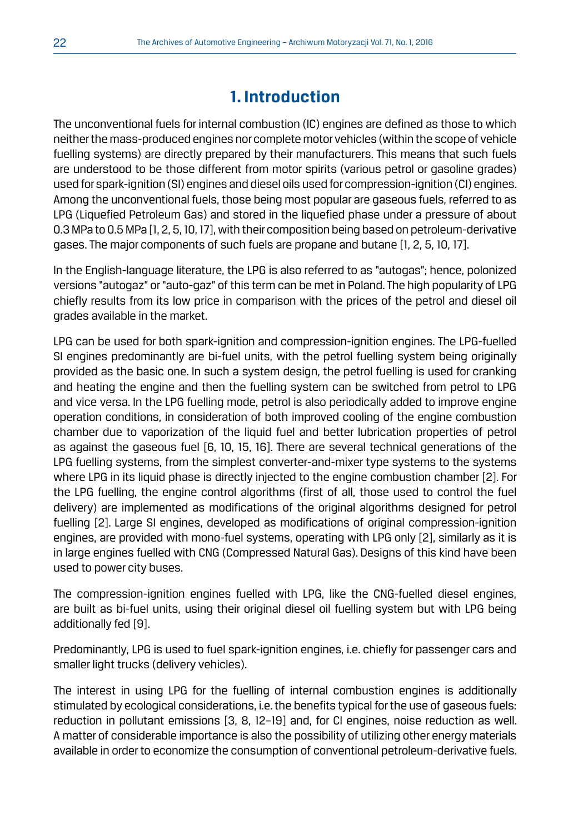# **1. Introduction**

The unconventional fuels for internal combustion (IC) engines are defined as those to which neither the mass-produced engines nor complete motor vehicles (within the scope of vehicle fuelling systems) are directly prepared by their manufacturers. This means that such fuels are understood to be those different from motor spirits (various petrol or gasoline grades) used for spark-ignition (SI) engines and diesel oils used for compression-ignition (CI) engines. Among the unconventional fuels, those being most popular are gaseous fuels, referred to as LPG (Liquefied Petroleum Gas) and stored in the liquefied phase under a pressure of about 0.3 MPa to 0.5 MPa [1, 2, 5, 10, 17], with their composition being based on petroleum-derivative gases. The major components of such fuels are propane and butane [1, 2, 5, 10, 17].

In the English-language literature, the LPG is also referred to as "autogas"; hence, polonized versions "autogaz" or "auto-gaz" of this term can be met in Poland. The high popularity of LPG chiefly results from its low price in comparison with the prices of the petrol and diesel oil grades available in the market.

LPG can be used for both spark-ignition and compression-ignition engines. The LPG-fuelled SI engines predominantly are bi-fuel units, with the petrol fuelling system being originally provided as the basic one. In such a system design, the petrol fuelling is used for cranking and heating the engine and then the fuelling system can be switched from petrol to LPG and vice versa. In the LPG fuelling mode, petrol is also periodically added to improve engine operation conditions, in consideration of both improved cooling of the engine combustion chamber due to vaporization of the liquid fuel and better lubrication properties of petrol as against the gaseous fuel [6, 10, 15, 16]. There are several technical generations of the LPG fuelling systems, from the simplest converter-and-mixer type systems to the systems where LPG in its liquid phase is directly injected to the engine combustion chamber [2]. For the LPG fuelling, the engine control algorithms (first of all, those used to control the fuel delivery) are implemented as modifications of the original algorithms designed for petrol fuelling [2]. Large SI engines, developed as modifications of original compression-ignition engines, are provided with mono-fuel systems, operating with LPG only [2], similarly as it is in large engines fuelled with CNG (Compressed Natural Gas). Designs of this kind have been used to power city buses.

The compression-ignition engines fuelled with LPG, like the CNG-fuelled diesel engines, are built as bi-fuel units, using their original diesel oil fuelling system but with LPG being additionally fed [9].

Predominantly, LPG is used to fuel spark-ignition engines, i.e. chiefly for passenger cars and smaller light trucks (delivery vehicles).

The interest in using LPG for the fuelling of internal combustion engines is additionally stimulated by ecological considerations, i.e. the benefits typical for the use of gaseous fuels: reduction in pollutant emissions [3, 8, 12–19] and, for CI engines, noise reduction as well. A matter of considerable importance is also the possibility of utilizing other energy materials available in order to economize the consumption of conventional petroleum-derivative fuels.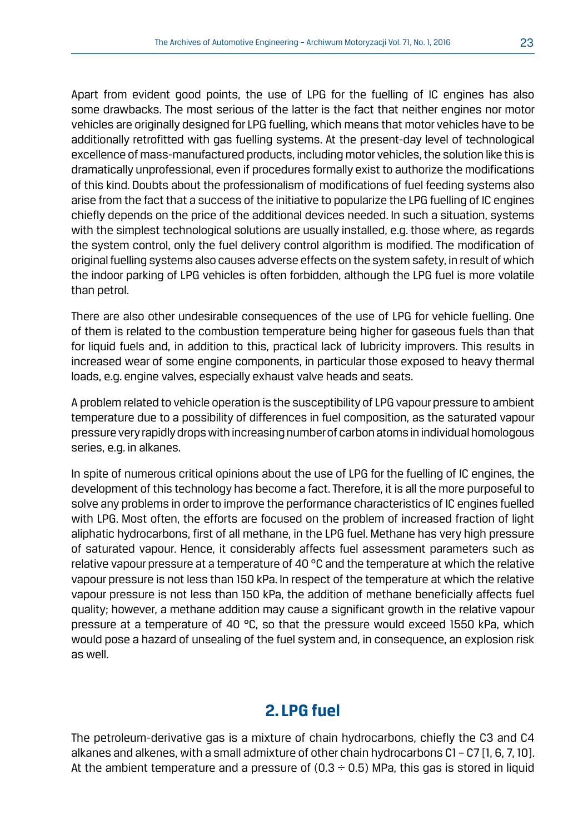Apart from evident good points, the use of LPG for the fuelling of IC engines has also some drawbacks. The most serious of the latter is the fact that neither engines nor motor vehicles are originally designed for LPG fuelling, which means that motor vehicles have to be additionally retrofitted with gas fuelling systems. At the present-day level of technological excellence of mass-manufactured products, including motor vehicles, the solution like this is dramatically unprofessional, even if procedures formally exist to authorize the modifications of this kind. Doubts about the professionalism of modifications of fuel feeding systems also arise from the fact that a success of the initiative to popularize the LPG fuelling of IC engines chiefly depends on the price of the additional devices needed. In such a situation, systems with the simplest technological solutions are usually installed, e.g. those where, as regards the system control, only the fuel delivery control algorithm is modified. The modification of original fuelling systems also causes adverse effects on the system safety, in result of which the indoor parking of LPG vehicles is often forbidden, although the LPG fuel is more volatile than petrol.

There are also other undesirable consequences of the use of LPG for vehicle fuelling. One of them is related to the combustion temperature being higher for gaseous fuels than that for liquid fuels and, in addition to this, practical lack of lubricity improvers. This results in increased wear of some engine components, in particular those exposed to heavy thermal loads, e.g. engine valves, especially exhaust valve heads and seats.

A problem related to vehicle operation is the susceptibility of LPG vapour pressure to ambient temperature due to a possibility of differences in fuel composition, as the saturated vapour pressure very rapidly drops with increasing number of carbon atoms in individual homologous series, e.g. in alkanes.

In spite of numerous critical opinions about the use of LPG for the fuelling of IC engines, the development of this technology has become a fact. Therefore, it is all the more purposeful to solve any problems in order to improve the performance characteristics of IC engines fuelled with LPG. Most often, the efforts are focused on the problem of increased fraction of light aliphatic hydrocarbons, first of all methane, in the LPG fuel. Methane has very high pressure of saturated vapour. Hence, it considerably affects fuel assessment parameters such as relative vapour pressure at a temperature of 40 °C and the temperature at which the relative vapour pressure is not less than 150 kPa. In respect of the temperature at which the relative vapour pressure is not less than 150 kPa, the addition of methane beneficially affects fuel quality; however, a methane addition may cause a significant growth in the relative vapour pressure at a temperature of 40 °C, so that the pressure would exceed 1550 kPa, which would pose a hazard of unsealing of the fuel system and, in consequence, an explosion risk as well.

# **2. LPG fuel**

The petroleum-derivative gas is a mixture of chain hydrocarbons, chiefly the C3 and C4 alkanes and alkenes, with a small admixture of other chain hydrocarbons C1 – C7 [1, 6, 7, 10]. At the ambient temperature and a pressure of  $(0.3 \div 0.5)$  MPa, this gas is stored in liquid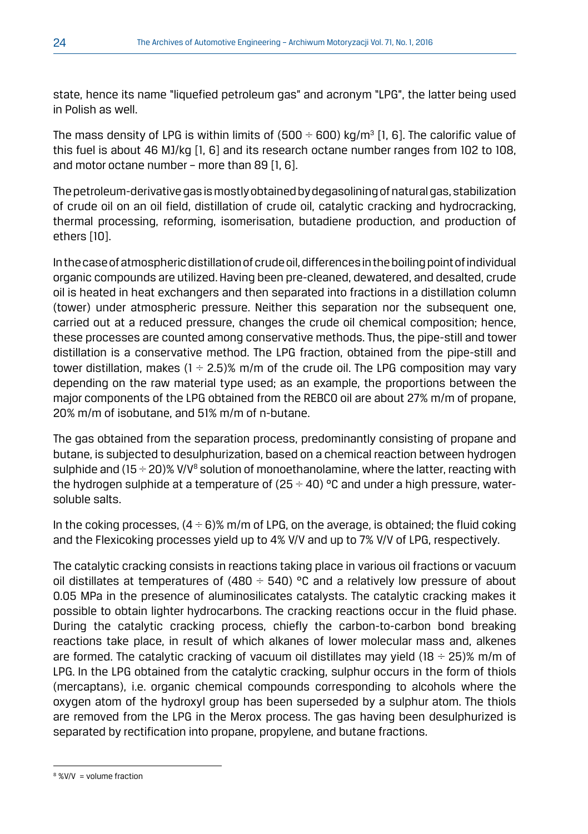state, hence its name "liquefied petroleum gas" and acronym "LPG", the latter being used in Polish as well.

The mass density of LPG is within limits of (500  $\div$  600) kg/m<sup>3</sup> [1, 6]. The calorific value of this fuel is about 46 MJ/kg [1, 6] and its research octane number ranges from 102 to 108, and motor octane number – more than 89 [1, 6].

The petroleum-derivative gas is mostly obtained by degasolining of natural gas, stabilization of crude oil on an oil field, distillation of crude oil, catalytic cracking and hydrocracking, thermal processing, reforming, isomerisation, butadiene production, and production of ethers [10].

In the case of atmospheric distillation of crude oil, differences in the boiling point of individual organic compounds are utilized. Having been pre-cleaned, dewatered, and desalted, crude oil is heated in heat exchangers and then separated into fractions in a distillation column (tower) under atmospheric pressure. Neither this separation nor the subsequent one, carried out at a reduced pressure, changes the crude oil chemical composition; hence, these processes are counted among conservative methods. Thus, the pipe-still and tower distillation is a conservative method. The LPG fraction, obtained from the pipe-still and tower distillation, makes  $(1 \div 2.5)$ % m/m of the crude oil. The LPG composition may vary depending on the raw material type used; as an example, the proportions between the major components of the LPG obtained from the REBCO oil are about 27% m/m of propane, 20% m/m of isobutane, and 51% m/m of n-butane.

The gas obtained from the separation process, predominantly consisting of propane and butane, is subjected to desulphurization, based on a chemical reaction between hydrogen sulphide and (15  $\div$  20)% V/V<sup>8</sup> solution of monoethanolamine, where the latter, reacting with the hydrogen sulphide at a temperature of  $(25 \div 40)$  °C and under a high pressure, watersoluble salts.

In the coking processes,  $(4 \div 6)$ % m/m of LPG, on the average, is obtained; the fluid coking and the Flexicoking processes yield up to 4% V/V and up to 7% V/V of LPG, respectively.

The catalytic cracking consists in reactions taking place in various oil fractions or vacuum oil distillates at temperatures of (480  $\div$  540) °C and a relatively low pressure of about 0.05 MPa in the presence of aluminosilicates catalysts. The catalytic cracking makes it possible to obtain lighter hydrocarbons. The cracking reactions occur in the fluid phase. During the catalytic cracking process, chiefly the carbon-to-carbon bond breaking reactions take place, in result of which alkanes of lower molecular mass and, alkenes are formed. The catalytic cracking of vacuum oil distillates may yield  $(18 \div 25)\%$  m/m of LPG. In the LPG obtained from the catalytic cracking, sulphur occurs in the form of thiols (mercaptans), i.e. organic chemical compounds corresponding to alcohols where the oxygen atom of the hydroxyl group has been superseded by a sulphur atom. The thiols are removed from the LPG in the Merox process. The gas having been desulphurized is separated by rectification into propane, propylene, and butane fractions.

<sup>8</sup> %V/V = volume fraction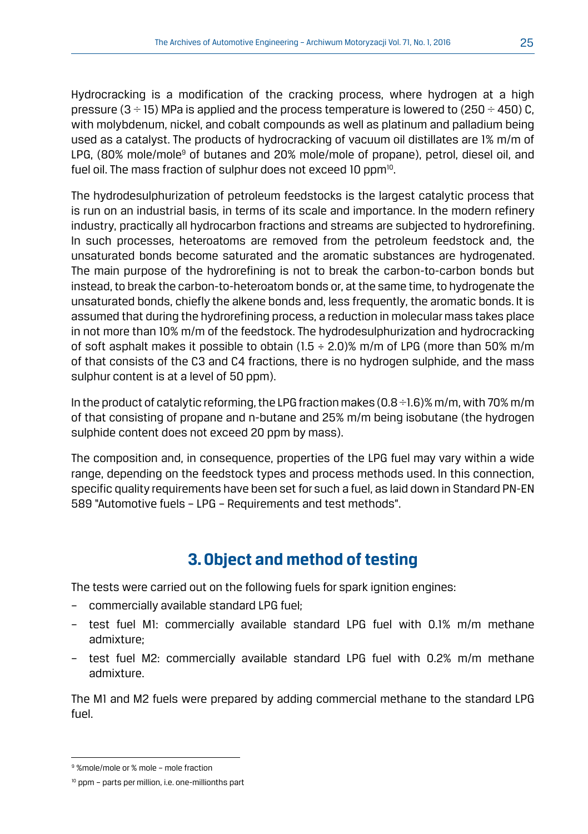Hydrocracking is a modification of the cracking process, where hydrogen at a high pressure  $(3 \div 15)$  MPa is applied and the process temperature is lowered to  $(250 \div 450)$  C, with molybdenum, nickel, and cobalt compounds as well as platinum and palladium being used as a catalyst. The products of hydrocracking of vacuum oil distillates are 1% m/m of LPG, (80% mole/mole<sup>9</sup> of butanes and 20% mole/mole of propane), petrol, diesel oil, and fuel oil. The mass fraction of sulphur does not exceed 10 ppm<sup>10</sup>.

The hydrodesulphurization of petroleum feedstocks is the largest catalytic process that is run on an industrial basis, in terms of its scale and importance. In the modern refinery industry, practically all hydrocarbon fractions and streams are subjected to hydrorefining. In such processes, heteroatoms are removed from the petroleum feedstock and, the unsaturated bonds become saturated and the aromatic substances are hydrogenated. The main purpose of the hydrorefining is not to break the carbon-to-carbon bonds but instead, to break the carbon-to-heteroatom bonds or, at the same time, to hydrogenate the unsaturated bonds, chiefly the alkene bonds and, less frequently, the aromatic bonds. It is assumed that during the hydrorefining process, a reduction in molecular mass takes place in not more than 10% m/m of the feedstock. The hydrodesulphurization and hydrocracking of soft asphalt makes it possible to obtain  $(1.5 \div 2.0)$ % m/m of LPG (more than 50% m/m of that consists of the C3 and C4 fractions, there is no hydrogen sulphide, and the mass sulphur content is at a level of 50 ppm).

In the product of catalytic reforming, the LPG fraction makes (0.8 ÷1.6)% m/m, with 70% m/m of that consisting of propane and n-butane and 25% m/m being isobutane (the hydrogen sulphide content does not exceed 20 ppm by mass).

The composition and, in consequence, properties of the LPG fuel may vary within a wide range, depending on the feedstock types and process methods used. In this connection, specific quality requirements have been set for such a fuel, as laid down in Standard PN-EN 589 "Automotive fuels – LPG – Requirements and test methods".

# **3. Object and method of testing**

The tests were carried out on the following fuels for spark ignition engines:

- commercially available standard LPG fuel;
- test fuel M1: commercially available standard LPG fuel with 0.1% m/m methane admixture;
- test fuel M2: commercially available standard LPG fuel with 0.2% m/m methane admixture.

The M1 and M2 fuels were prepared by adding commercial methane to the standard LPG fuel.

<sup>9</sup> %mole/mole or % mole – mole fraction

<sup>&</sup>lt;sup>10</sup> ppm - parts per million, i.e. one-millionths part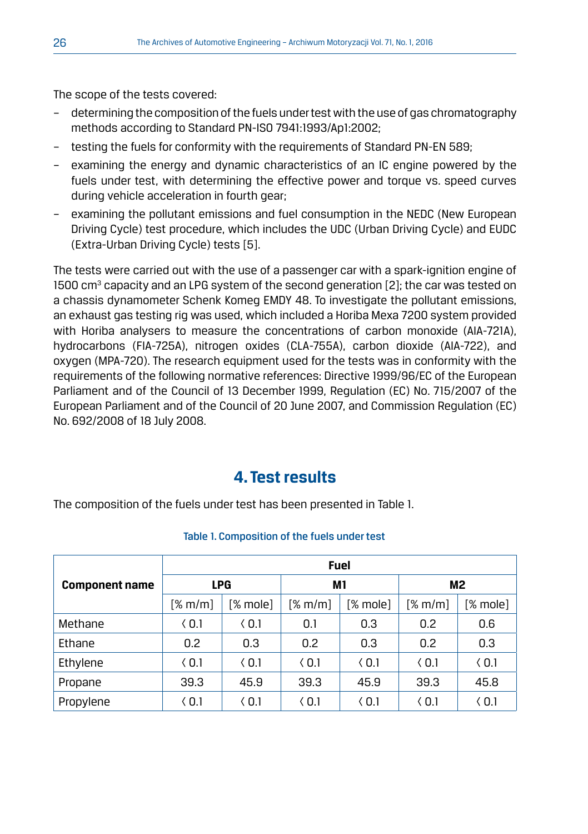The scope of the tests covered:

- determining the composition of the fuels under test with the use of gas chromatography methods according to Standard PN-ISO 7941:1993/Ap1:2002;
- testing the fuels for conformity with the requirements of Standard PN-EN 589;
- examining the energy and dynamic characteristics of an IC engine powered by the fuels under test, with determining the effective power and torque vs. speed curves during vehicle acceleration in fourth gear;
- examining the pollutant emissions and fuel consumption in the NEDC (New European Driving Cycle) test procedure, which includes the UDC (Urban Driving Cycle) and EUDC (Extra-Urban Driving Cycle) tests [5].

The tests were carried out with the use of a passenger car with a spark-ignition engine of 1500 cm $^3$  capacity and an LPG system of the second generation [2]; the car was tested on a chassis dynamometer Schenk Komeg EMDY 48. To investigate the pollutant emissions, an exhaust gas testing rig was used, which included a Horiba Mexa 7200 system provided with Horiba analysers to measure the concentrations of carbon monoxide (AIA-721A), hydrocarbons (FIA-725A), nitrogen oxides (CLA-755A), carbon dioxide (AIA-722), and oxygen (MPA-720). The research equipment used for the tests was in conformity with the requirements of the following normative references: Directive 1999/96/EC of the European Parliament and of the Council of 13 December 1999, Regulation (EC) No. 715/2007 of the European Parliament and of the Council of 20 June 2007, and Commission Regulation (EC) No. 692/2008 of 18 July 2008.

## **4. Test results**

The composition of the fuels under test has been presented in Table 1.

|                       | <b>Fuel</b>   |               |               |               |                     |               |  |  |
|-----------------------|---------------|---------------|---------------|---------------|---------------------|---------------|--|--|
| <b>Component name</b> | <b>LPG</b>    |               | М1            |               | M2                  |               |  |  |
|                       | [% m/m]       | [% mole]      | [% m/m]       | [% mole]      | [% <sub>m</sub> /m] | [% mole]      |  |  |
| Methane               | $\langle 0.1$ | $\langle 0.1$ | 0.1           | 0.3           | 0.2                 | 0.6           |  |  |
| Ethane                | 0.2           | 0.3           | 0.2           | 0.3           | 0.2                 | 0.3           |  |  |
| Ethylene              | $\langle 0.1$ | $\langle 0.1$ | $\langle 0.1$ | $\langle 0.1$ | (0.1)               | $\langle 0.1$ |  |  |
| Propane               | 39.3          | 45.9          | 39.3          | 45.9          | 39.3                | 45.8          |  |  |
| Propylene             | $\langle 0.1$ | $\langle 0.1$ | $\langle 0.1$ | $\langle 0.1$ | $\langle 0.1$       | $\langle 0.1$ |  |  |

#### Table 1. Composition of the fuels under test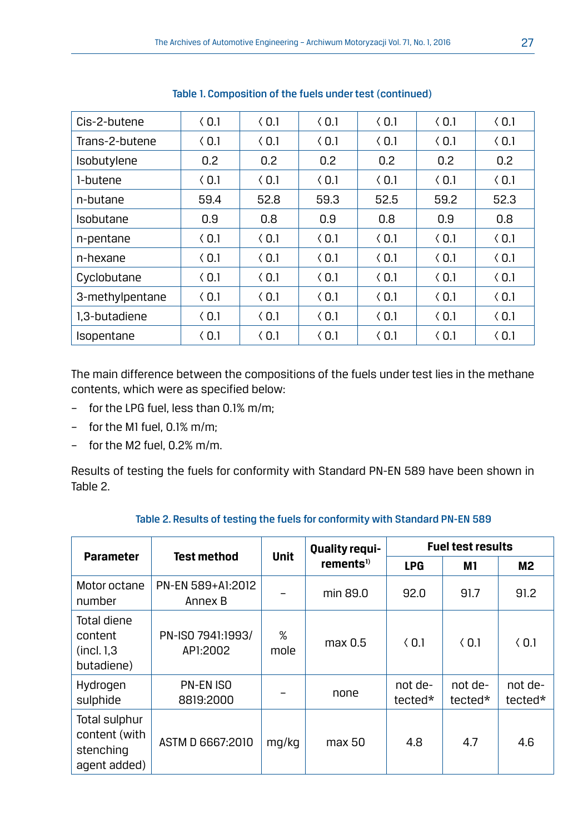| Cis-2-butene    | (0.1)         | (0.1) | (0.1)         | (0.1) | (0.1) | (0.1)            |
|-----------------|---------------|-------|---------------|-------|-------|------------------|
| Trans-2-butene  | $\langle 0.1$ | (0.1) | (0.1)         | (0.1) | (0.1) | (0.1)            |
| Isobutylene     | 0.2           | 0.2   | 0.2           | 0.2   | 0.2   | 0.2 <sub>2</sub> |
| 1-butene        | (0.1)         | (0.1) | (0.1)         | (0.1) | (0.1) | (0.1)            |
| n-butane        | 59.4          | 52.8  | 59.3          | 52.5  | 59.2  | 52.3             |
| Isobutane       | 0.9           | 0.8   | 0.9           | 0.8   | 0.9   | 0.8              |
| n-pentane       | (0.1)         | (0.1) | (0.1)         | (0.1) | (0.1) | (0.1)            |
| n-hexane        | (0.1)         | (0.1) | (0.1)         | (0.1) | (0.1) | (0.1)            |
| Cyclobutane     | (0.1)         | (0.1) | $\langle 0.1$ | (0.1) | (0.1) | (0.1)            |
| 3-methylpentane | (0.1)         | (0.1) | (0.1)         | (0.1) | (0.1) | (0.1)            |
| 1.3-butadiene   | $\langle 0.1$ | (0.1) | (0.1)         | (0.1) | (0.1) | (0.1)            |
| Isopentane      | $\langle 0.1$ | (0.1) | (0.1)         | (0.1) | (0.1) | (0.1)            |

Table 1. Composition of the fuels under test (continued)

The main difference between the compositions of the fuels under test lies in the methane contents, which were as specified below:

- for the LPG fuel, less than 0.1% m/m;
- for the M1 fuel, 0.1% m/m;
- for the M2 fuel, 0.2% m/m.

Results of testing the fuels for conformity with Standard PN-EN 589 have been shown in Table 2.

| <b>Parameter</b>                                            | <b>Test method</b>            | <b>Unit</b> | <b>Quality requi-</b> | <b>Fuel test results</b> |                     |                    |
|-------------------------------------------------------------|-------------------------------|-------------|-----------------------|--------------------------|---------------------|--------------------|
|                                                             |                               |             | rements <sup>1)</sup> | <b>LPG</b>               | M1                  | M2                 |
| Motor octane<br>number                                      | PN-EN 589+A1:2012<br>Annex B  |             | min 89.0              | 92.0                     | 91.7                | 91.2               |
| Total diene<br>content<br>(incl. 1.3)<br>butadiene)         | PN-ISO 7941:1993/<br>AP1:2002 | %<br>mole   | max 0.5               | (0.1)                    | (0.1)               | (0.1)              |
| Hydrogen<br>sulphide                                        | <b>PN-EN ISO</b><br>8819:2000 |             | none                  | not de-<br>tected*       | -not de-<br>tected* | not de-<br>tected* |
| Total sulphur<br>content (with<br>stenching<br>agent added) | ASTM D 6667:2010              | mg/kg       | max 50                | 4.8                      | 4.7                 | 4.6                |

#### Table 2. Results of testing the fuels for conformity with Standard PN-EN 589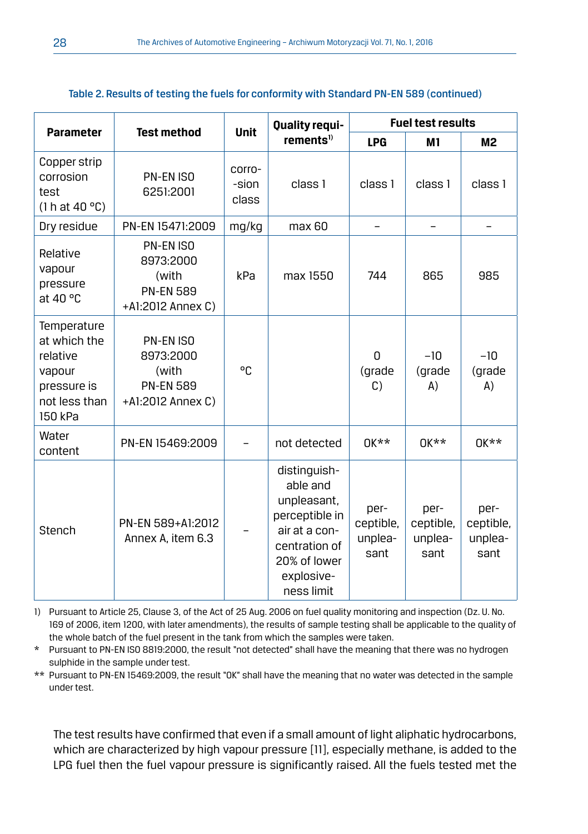|                                                                                              |                                                                                 |                          | Quality requi-                                                                                                                          | <b>Fuel test results</b>             |                                      |                                      |
|----------------------------------------------------------------------------------------------|---------------------------------------------------------------------------------|--------------------------|-----------------------------------------------------------------------------------------------------------------------------------------|--------------------------------------|--------------------------------------|--------------------------------------|
| <b>Parameter</b>                                                                             | <b>Test method</b>                                                              | <b>Unit</b>              | rements <sup>1</sup>                                                                                                                    | <b>LPG</b>                           | M1                                   | <b>M2</b>                            |
| Copper strip<br>corrosion<br>test<br>(1 h at 40 °C)                                          | PN-EN ISO<br>6251:2001                                                          | corro-<br>-sion<br>class | class 1                                                                                                                                 | class 1                              | class 1                              | class 1                              |
| Dry residue                                                                                  | PN-EN 15471:2009                                                                | mg/kg                    | max 60                                                                                                                                  | $\overline{\phantom{0}}$             |                                      |                                      |
| Relative<br>vapour<br>pressure<br>at 40 $\degree$ C                                          | <b>PN-EN ISO</b><br>8973:2000<br>(with<br><b>PN-EN 589</b><br>+A1:2012 Annex C) | kPa                      | max 1550                                                                                                                                | 744                                  | 865                                  | 985                                  |
| Temperature<br>at which the<br>relative<br>vapour<br>pressure is<br>not less than<br>150 kPa | PN-EN ISO<br>8973:2000<br>(with<br><b>PN-EN 589</b><br>+A1:2012 Annex C)        | °C                       |                                                                                                                                         | 0<br>(grade<br>C)                    | $-10$<br>(grade<br>(A)               | $-10$<br>(grade<br>(A)               |
| Water<br>content                                                                             | PN-EN 15469:2009                                                                |                          | not detected                                                                                                                            | $0$ <sub>K</sub> $\star\star$        | $0$ <sub>K</sub> $\star\star$        | $0$ <sub>k</sub> $*$                 |
| Stench                                                                                       | PN-EN 589+A1:2012<br>Annex A, item 6.3                                          |                          | distinguish-<br>able and<br>unpleasant,<br>perceptible in<br>air at a con-<br>centration of<br>20% of lower<br>explosive-<br>ness limit | per-<br>ceptible,<br>unplea-<br>sant | per-<br>ceptible,<br>unplea-<br>sant | per-<br>ceptible,<br>unplea-<br>sant |

#### Table 2. Results of testing the fuels for conformity with Standard PN-EN 589 (continued)

1) Pursuant to Article 25, Clause 3, of the Act of 25 Aug. 2006 on fuel quality monitoring and inspection (Dz. U. No. 169 of 2006, item 1200, with later amendments), the results of sample testing shall be applicable to the quality of the whole batch of the fuel present in the tank from which the samples were taken.

\* Pursuant to PN-EN ISO 8819:2000, the result "not detected" shall have the meaning that there was no hydrogen sulphide in the sample under test.

\*\* Pursuant to PN-EN 15469:2009, the result "OK" shall have the meaning that no water was detected in the sample under test.

The test results have confirmed that even if a small amount of light aliphatic hydrocarbons, which are characterized by high vapour pressure [11], especially methane, is added to the LPG fuel then the fuel vapour pressure is significantly raised. All the fuels tested met the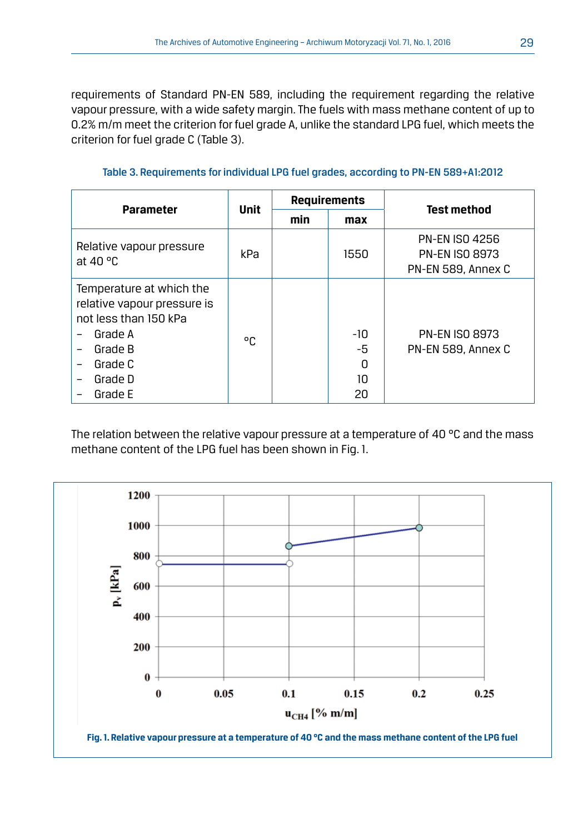requirements of Standard PN-EN 589, including the requirement regarding the relative vapour pressure, with a wide safety margin. The fuels with mass methane content of up to 0.2% m/m meet the criterion for fuel grade A, unlike the standard LPG fuel, which meets the criterion for fuel grade C (Table 3).

**Parameter Unit Requirements Test method min max** Relative vapour pressure  $\begin{array}{|c|c|c|c|c|c|}\n\hline \text{at 40 °C} & \text{at 40 °C}\n\end{array}$ PN-EN ISO 4256 PN-EN ISO 8973 PN-EN 589, Annex C Temperature at which the relative vapour pressure is not less than 150 kPa – Grade A – Grade B – Grade C – Grade D – Grade E °C -10 -5  $\Omega$ 10 20 PN-EN ISO 8973 PN-EN 589, Annex C

Table 3. Requirements for individual LPG fuel grades, according to PN-EN 589+A1:2012

The relation between the relative vapour pressure at a temperature of 40 °C and the mass methane content of the LPG fuel has been shown in Fig. 1.

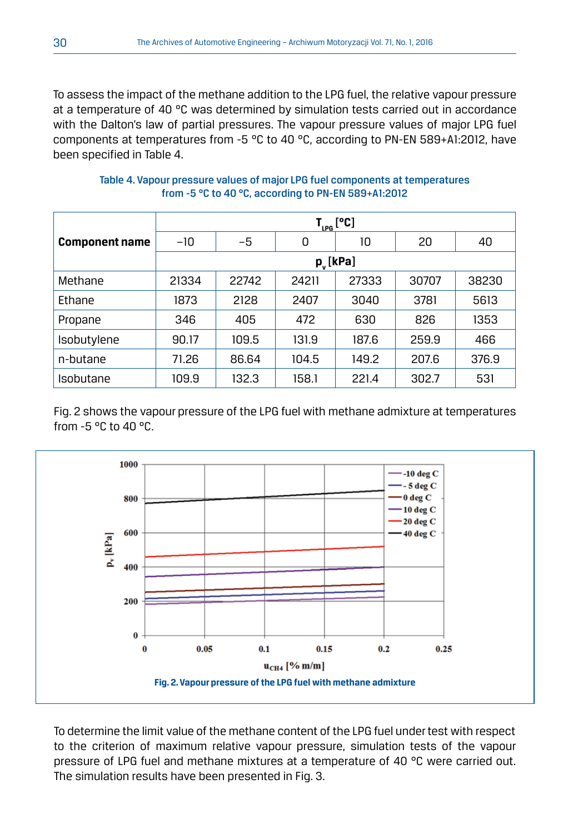To assess the impact of the methane addition to the LPG fuel, the relative vapour pressure at a temperature of 40  $^{\circ}$ C was determined by simulation tests carried out in accordance with the Dalton's law of partial pressures. The vapour pressure values of major LPG fuel components at temperatures from -5 °C to 40 °C, according to PN-EN 589+A1:2012, have been specified in Table 4.

Table 4. Vapour pressure values of major LPG fuel components at temperatures from -5 °C to 40 °C, according to PN-EN 589+A1:2012

|                       | $T_{LPG}$ [°C] |       |       |       |       |       |  |  |
|-----------------------|----------------|-------|-------|-------|-------|-------|--|--|
| <b>Component name</b> | $-10$          | $-5$  | 0     | 10    | 20    | 40    |  |  |
|                       | $p_{v}$ [kPa]  |       |       |       |       |       |  |  |
| Methane               | 21334          | 22742 | 24211 | 27333 | 30707 | 38230 |  |  |
| Ethane                | 1873           | 2128  | 2407  | 3040  | 3781  | 5613  |  |  |
| Propane               | 346            | 405   | 472   | 630   | 826   | 1353  |  |  |
| Isobutylene           | 90.17          | 109.5 | 131.9 | 187.6 | 259.9 | 466   |  |  |
| n-butane              | 71.26          | 86.64 | 104.5 | 149.2 | 207.6 | 376.9 |  |  |
| Isobutane             | 109.9          | 132.3 | 158.1 | 221.4 | 302.7 | 531   |  |  |

Fig. 2 shows the vapour pressure of the LPG fuel with methane admixture at temperatures from -5 °C to 40 °C.



To determine the limit value of the methane content of the LPG fuel under test with respect to the criterion of maximum relative vapour pressure, simulation tests of the vapour pressure of LPG fuel and methane mixtures at a temperature of 40 °C were carried out. The simulation results have been presented in Fig. 3.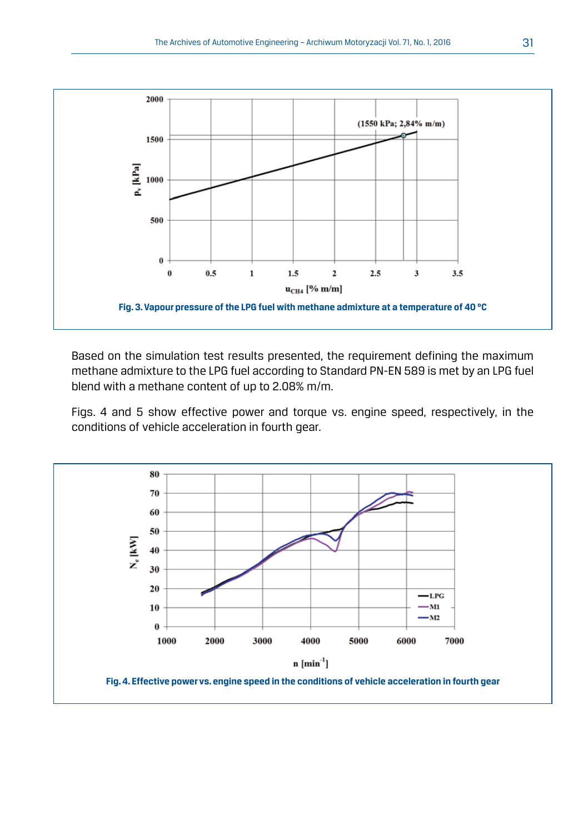

Based on the simulation test results presented, the requirement defining the maximum methane admixture to the LPG fuel according to Standard PN-EN 589 is met by an LPG fuel blend with a methane content of up to 2.08% m/m.

Figs. 4 and 5 show effective power and torque vs. engine speed, respectively, in the conditions of vehicle acceleration in fourth gear.

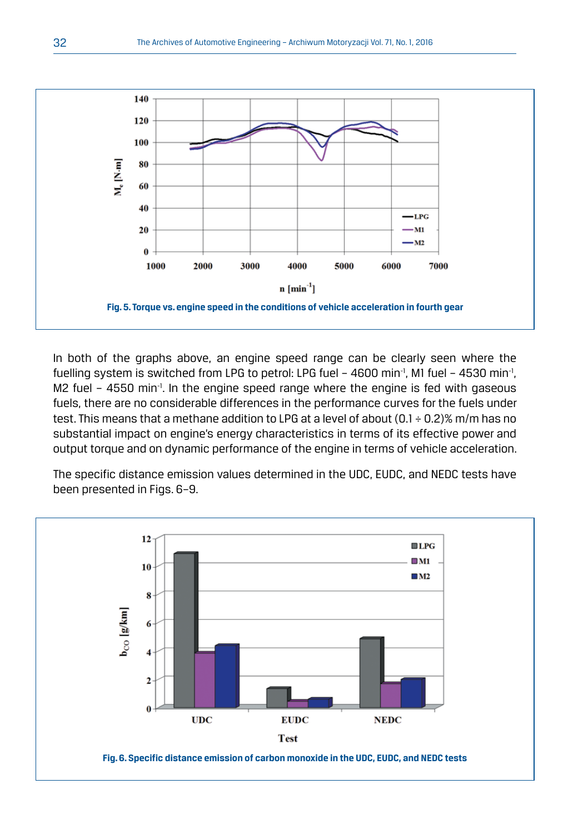

In both of the graphs above, an engine speed range can be clearly seen where the fuelling system is switched from LPG to petrol: LPG fuel  $-$  4600 min<sup>-1</sup>, M1 fuel  $-$  4530 min<sup>-1</sup>, M2 fuel - 4550 min<sup>-1</sup>. In the engine speed range where the engine is fed with gaseous fuels, there are no considerable differences in the performance curves for the fuels under test. This means that a methane addition to LPG at a level of about  $(0.1 \div 0.2)$ % m/m has no substantial impact on engine's energy characteristics in terms of its effective power and output torque and on dynamic performance of the engine in terms of vehicle acceleration.

The specific distance emission values determined in the UDC, EUDC, and NEDC tests have been presented in Figs. 6–9.

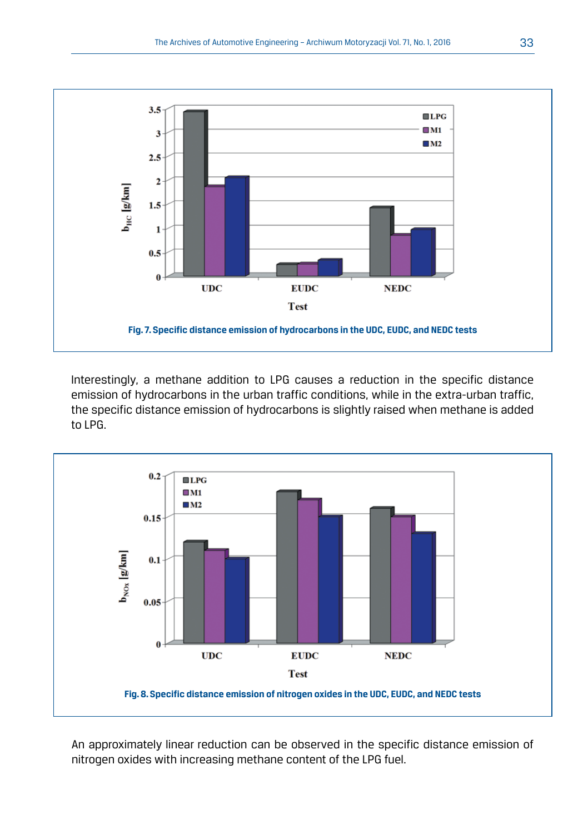

Interestingly, a methane addition to LPG causes a reduction in the specific distance emission of hydrocarbons in the urban traffic conditions, while in the extra-urban traffic, the specific distance emission of hydrocarbons is slightly raised when methane is added to LPG.



An approximately linear reduction can be observed in the specific distance emission of nitrogen oxides with increasing methane content of the LPG fuel.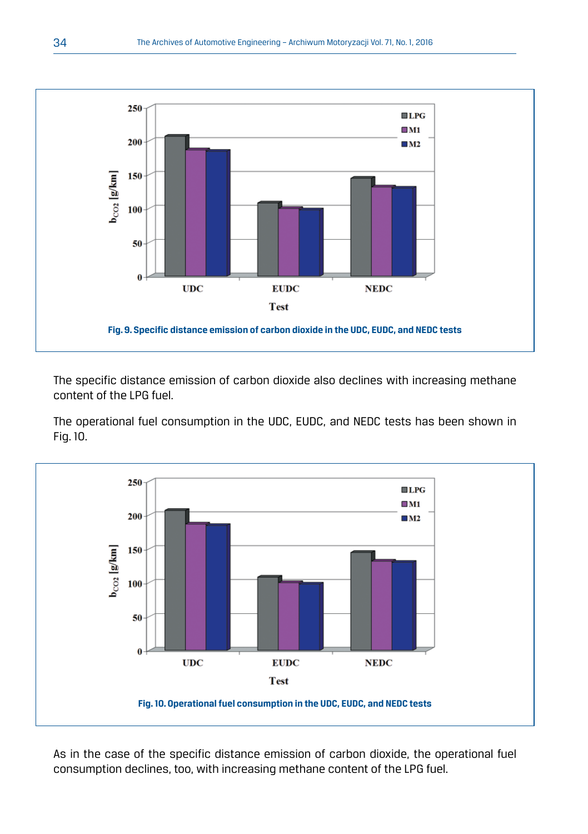

The specific distance emission of carbon dioxide also declines with increasing methane content of the LPG fuel.

The operational fuel consumption in the UDC, EUDC, and NEDC tests has been shown in Fig. 10.



As in the case of the specific distance emission of carbon dioxide, the operational fuel consumption declines, too, with increasing methane content of the LPG fuel.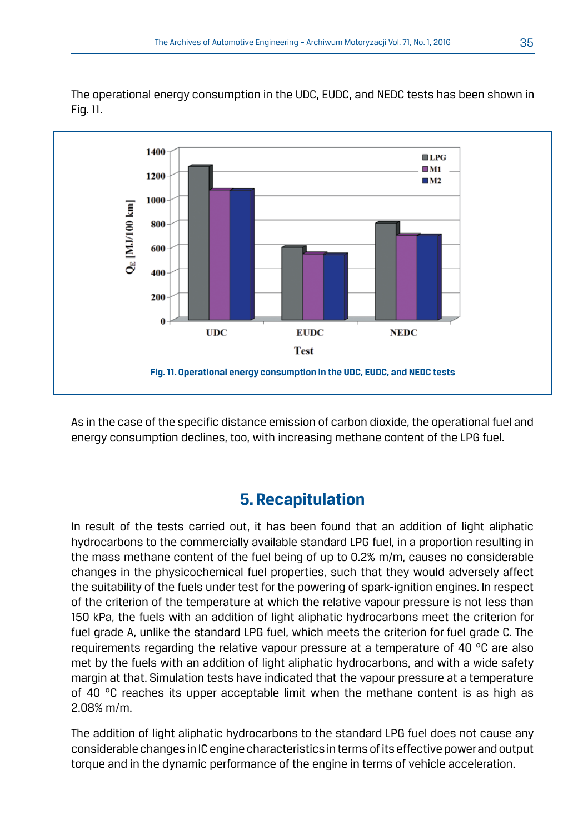

The operational energy consumption in the UDC, EUDC, and NEDC tests has been shown in Fig. 11.

As in the case of the specific distance emission of carbon dioxide, the operational fuel and energy consumption declines, too, with increasing methane content of the LPG fuel.

# **5. Recapitulation**

In result of the tests carried out, it has been found that an addition of light aliphatic hydrocarbons to the commercially available standard LPG fuel, in a proportion resulting in the mass methane content of the fuel being of up to 0.2% m/m, causes no considerable changes in the physicochemical fuel properties, such that they would adversely affect the suitability of the fuels under test for the powering of spark-ignition engines. In respect of the criterion of the temperature at which the relative vapour pressure is not less than 150 kPa, the fuels with an addition of light aliphatic hydrocarbons meet the criterion for fuel grade A, unlike the standard LPG fuel, which meets the criterion for fuel grade C. The requirements regarding the relative vapour pressure at a temperature of 40 °C are also met by the fuels with an addition of light aliphatic hydrocarbons, and with a wide safety margin at that. Simulation tests have indicated that the vapour pressure at a temperature of 40 °C reaches its upper acceptable limit when the methane content is as high as 2.08% m/m.

The addition of light aliphatic hydrocarbons to the standard LPG fuel does not cause any considerable changes in IC engine characteristics in terms of its effective power and output torque and in the dynamic performance of the engine in terms of vehicle acceleration.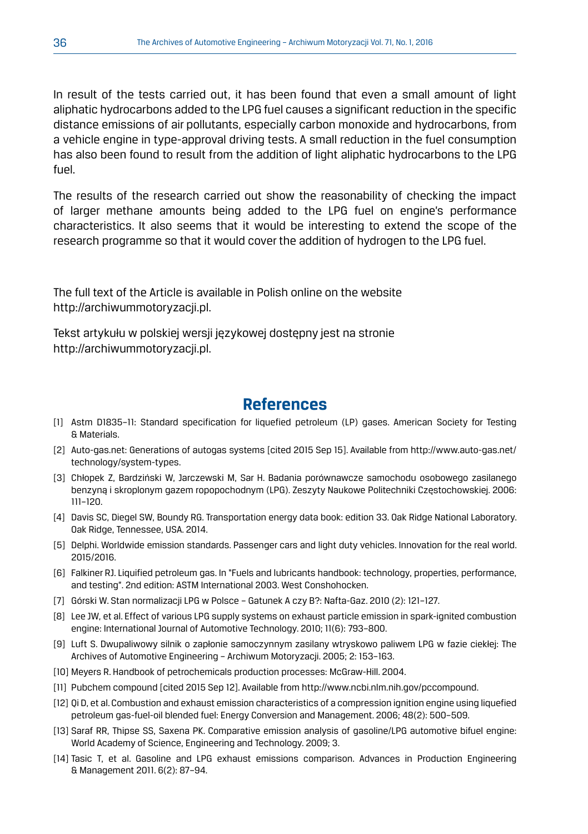In result of the tests carried out, it has been found that even a small amount of light aliphatic hydrocarbons added to the LPG fuel causes a significant reduction in the specific distance emissions of air pollutants, especially carbon monoxide and hydrocarbons, from a vehicle engine in type-approval driving tests. A small reduction in the fuel consumption has also been found to result from the addition of light aliphatic hydrocarbons to the LPG fuel.

The results of the research carried out show the reasonability of checking the impact of larger methane amounts being added to the LPG fuel on engine's performance characteristics. It also seems that it would be interesting to extend the scope of the research programme so that it would cover the addition of hydrogen to the LPG fuel.

The full text of the Article is available in Polish online on the website http://archiwummotoryzacji.pl.

Tekst artykułu w polskiej wersji językowej dostępny jest na stronie http://archiwummotoryzacji.pl.

## **References**

- [1] Astm D1835–11: Standard specification for liquefied petroleum (LP) gases. American Society for Testing & Materials.
- [2] Auto-gas.net: Generations of autogas systems [cited 2015 Sep 15]. Available from http://www.auto-gas.net/ technology/system-types.
- [3] Chłopek Z, Bardziński W, Jarczewski M, Sar H. Badania porównawcze samochodu osobowego zasilanego benzyną i skroplonym gazem ropopochodnym (LPG). Zeszyty Naukowe Politechniki Częstochowskiej. 2006: 111–120.
- [4] Davis SC, Diegel SW, Boundy RG. Transportation energy data book: edition 33. Oak Ridge National Laboratory. Oak Ridge, Tennessee, USA. 2014.
- [5] Delphi. Worldwide emission standards. Passenger cars and light duty vehicles. Innovation for the real world. 2015/2016.
- [6] Falkiner RJ. Liquified petroleum gas. In "Fuels and lubricants handbook: technology, properties, performance, and testing". 2nd edition: ASTM International 2003. West Conshohocken.
- [7] Górski W. Stan normalizacji LPG w Polsce Gatunek A czy B?: Nafta-Gaz. 2010 (2): 121–127.
- [8] Lee JW, et al. Effect of various LPG supply systems on exhaust particle emission in spark-ignited combustion engine: International Journal of Automotive Technology. 2010; 11(6): 793–800.
- [9] Luft S. Dwupaliwowy silnik o zapłonie samoczynnym zasilany wtryskowo paliwem LPG w fazie ciekłej: The Archives of Automotive Engineering – Archiwum Motoryzacji. 2005; 2: 153–163.
- [10] Meyers R. Handbook of petrochemicals production processes: McGraw-Hill. 2004.
- [11] Pubchem compound [cited 2015 Sep 12]. Available from http://www.ncbi.nlm.nih.gov/pccompound.
- [12] Qi D, et al. Combustion and exhaust emission characteristics of a compression ignition engine using liquefied petroleum gas-fuel-oil blended fuel: Energy Conversion and Management. 2006; 48(2): 500–509.
- [13] Saraf RR, Thipse SS, Saxena PK. Comparative emission analysis of gasoline/LPG automotive bifuel engine: World Academy of Science, Engineering and Technology. 2009; 3.
- [14] Tasic T, et al. Gasoline and LPG exhaust emissions comparison. Advances in Production Engineering & Management 2011. 6(2): 87–94.